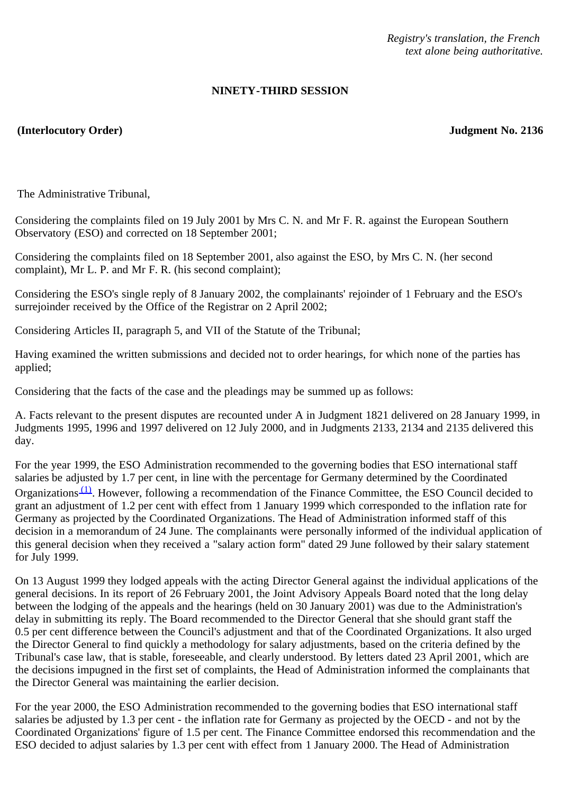*Registry's translation, the French text alone being authoritative.*

## **NINETY-THIRD SESSION**

## **(Interlocutory Order) Judgment No. 2136**

The Administrative Tribunal,

Considering the complaints filed on 19 July 2001 by Mrs C. N. and Mr F. R. against the European Southern Observatory (ESO) and corrected on 18 September 2001;

Considering the complaints filed on 18 September 2001, also against the ESO, by Mrs C. N. (her second complaint), Mr L. P. and Mr F. R. (his second complaint);

Considering the ESO's single reply of 8 January 2002, the complainants' rejoinder of 1 February and the ESO's surrejoinder received by the Office of the Registrar on 2 April 2002;

Considering Articles II, paragraph 5, and VII of the Statute of the Tribunal;

Having examined the written submissions and decided not to order hearings, for which none of the parties has applied;

Considering that the facts of the case and the pleadings may be summed up as follows:

A. Facts relevant to the present disputes are recounted under A in Judgment 1821 delivered on 28 January 1999, in Judgments 1995, 1996 and 1997 delivered on 12 July 2000, and in Judgments 2133, 2134 and 2135 delivered this day.

For the year 1999, the ESO Administration recommended to the governing bodies that ESO international staff salaries be adjusted by 1.7 per cent, in line with the percentage for Germany determined by the Coordinated Organizations [\(1\).](#page-4-0) However, following a recommendation of the Finance Committee, the ESO Council decided to grant an adjustment of 1.2 per cent with effect from 1 January 1999 which corresponded to the inflation rate for Germany as projected by the Coordinated Organizations. The Head of Administration informed staff of this decision in a memorandum of 24 June. The complainants were personally informed of the individual application of this general decision when they received a "salary action form" dated 29 June followed by their salary statement for July 1999.

On 13 August 1999 they lodged appeals with the acting Director General against the individual applications of the general decisions. In its report of 26 February 2001, the Joint Advisory Appeals Board noted that the long delay between the lodging of the appeals and the hearings (held on 30 January 2001) was due to the Administration's delay in submitting its reply. The Board recommended to the Director General that she should grant staff the 0.5 per cent difference between the Council's adjustment and that of the Coordinated Organizations. It also urged the Director General to find quickly a methodology for salary adjustments, based on the criteria defined by the Tribunal's case law, that is stable, foreseeable, and clearly understood. By letters dated 23 April 2001, which are the decisions impugned in the first set of complaints, the Head of Administration informed the complainants that the Director General was maintaining the earlier decision.

For the year 2000, the ESO Administration recommended to the governing bodies that ESO international staff salaries be adjusted by 1.3 per cent - the inflation rate for Germany as projected by the OECD - and not by the Coordinated Organizations' figure of 1.5 per cent. The Finance Committee endorsed this recommendation and the ESO decided to adjust salaries by 1.3 per cent with effect from 1 January 2000. The Head of Administration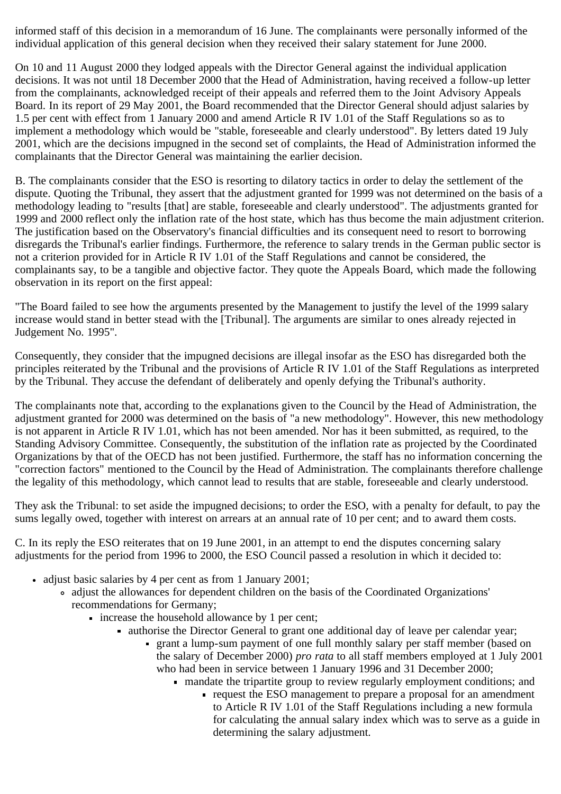informed staff of this decision in a memorandum of 16 June. The complainants were personally informed of the individual application of this general decision when they received their salary statement for June 2000.

On 10 and 11 August 2000 they lodged appeals with the Director General against the individual application decisions. It was not until 18 December 2000 that the Head of Administration, having received a follow-up letter from the complainants, acknowledged receipt of their appeals and referred them to the Joint Advisory Appeals Board. In its report of 29 May 2001, the Board recommended that the Director General should adjust salaries by 1.5 per cent with effect from 1 January 2000 and amend Article R IV 1.01 of the Staff Regulations so as to implement a methodology which would be "stable, foreseeable and clearly understood". By letters dated 19 July 2001, which are the decisions impugned in the second set of complaints, the Head of Administration informed the complainants that the Director General was maintaining the earlier decision.

B. The complainants consider that the ESO is resorting to dilatory tactics in order to delay the settlement of the dispute. Quoting the Tribunal, they assert that the adjustment granted for 1999 was not determined on the basis of a methodology leading to "results [that] are stable, foreseeable and clearly understood". The adjustments granted for 1999 and 2000 reflect only the inflation rate of the host state, which has thus become the main adjustment criterion. The justification based on the Observatory's financial difficulties and its consequent need to resort to borrowing disregards the Tribunal's earlier findings. Furthermore, the reference to salary trends in the German public sector is not a criterion provided for in Article R IV 1.01 of the Staff Regulations and cannot be considered, the complainants say, to be a tangible and objective factor. They quote the Appeals Board, which made the following observation in its report on the first appeal:

"The Board failed to see how the arguments presented by the Management to justify the level of the 1999 salary increase would stand in better stead with the [Tribunal]. The arguments are similar to ones already rejected in Judgement No. 1995".

Consequently, they consider that the impugned decisions are illegal insofar as the ESO has disregarded both the principles reiterated by the Tribunal and the provisions of Article R IV 1.01 of the Staff Regulations as interpreted by the Tribunal. They accuse the defendant of deliberately and openly defying the Tribunal's authority.

The complainants note that, according to the explanations given to the Council by the Head of Administration, the adjustment granted for 2000 was determined on the basis of "a new methodology". However, this new methodology is not apparent in Article R IV 1.01, which has not been amended. Nor has it been submitted, as required, to the Standing Advisory Committee. Consequently, the substitution of the inflation rate as projected by the Coordinated Organizations by that of the OECD has not been justified. Furthermore, the staff has no information concerning the "correction factors" mentioned to the Council by the Head of Administration. The complainants therefore challenge the legality of this methodology, which cannot lead to results that are stable, foreseeable and clearly understood.

They ask the Tribunal: to set aside the impugned decisions; to order the ESO, with a penalty for default, to pay the sums legally owed, together with interest on arrears at an annual rate of 10 per cent; and to award them costs.

C. In its reply the ESO reiterates that on 19 June 2001, in an attempt to end the disputes concerning salary adjustments for the period from 1996 to 2000, the ESO Council passed a resolution in which it decided to:

- adjust basic salaries by 4 per cent as from 1 January 2001;
	- adjust the allowances for dependent children on the basis of the Coordinated Organizations' recommendations for Germany;
		- $\blacksquare$  increase the household allowance by 1 per cent;
			- authorise the Director General to grant one additional day of leave per calendar year;
				- grant a lump-sum payment of one full monthly salary per staff member (based on the salary of December 2000) *pro rata* to all staff members employed at 1 July 2001 who had been in service between 1 January 1996 and 31 December 2000;
					- mandate the tripartite group to review regularly employment conditions; and
						- request the ESO management to prepare a proposal for an amendment to Article R IV 1.01 of the Staff Regulations including a new formula for calculating the annual salary index which was to serve as a guide in determining the salary adjustment.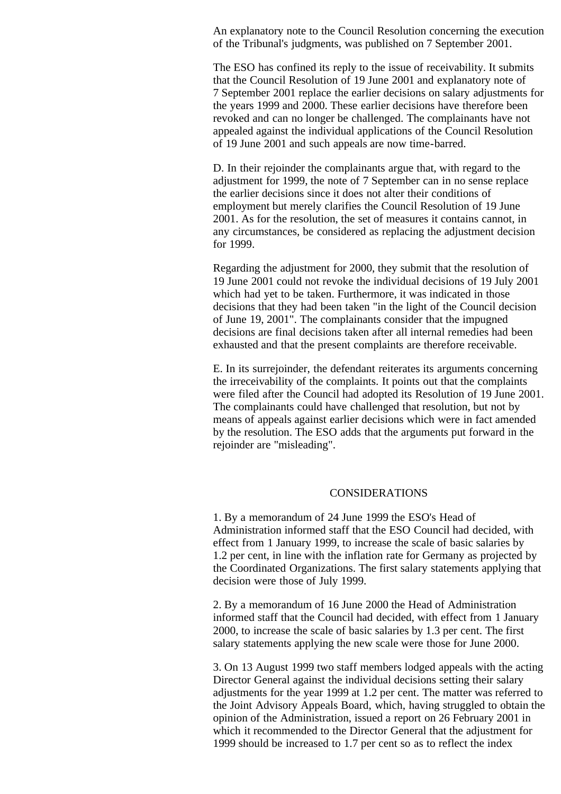An explanatory note to the Council Resolution concerning the execution of the Tribunal's judgments, was published on 7 September 2001.

The ESO has confined its reply to the issue of receivability. It submits that the Council Resolution of 19 June 2001 and explanatory note of 7 September 2001 replace the earlier decisions on salary adjustments for the years 1999 and 2000. These earlier decisions have therefore been revoked and can no longer be challenged. The complainants have not appealed against the individual applications of the Council Resolution of 19 June 2001 and such appeals are now time-barred.

D. In their rejoinder the complainants argue that, with regard to the adjustment for 1999, the note of 7 September can in no sense replace the earlier decisions since it does not alter their conditions of employment but merely clarifies the Council Resolution of 19 June 2001. As for the resolution, the set of measures it contains cannot, in any circumstances, be considered as replacing the adjustment decision for 1999.

Regarding the adjustment for 2000, they submit that the resolution of 19 June 2001 could not revoke the individual decisions of 19 July 2001 which had yet to be taken. Furthermore, it was indicated in those decisions that they had been taken "in the light of the Council decision of June 19, 2001". The complainants consider that the impugned decisions are final decisions taken after all internal remedies had been exhausted and that the present complaints are therefore receivable.

E. In its surrejoinder, the defendant reiterates its arguments concerning the irreceivability of the complaints. It points out that the complaints were filed after the Council had adopted its Resolution of 19 June 2001. The complainants could have challenged that resolution, but not by means of appeals against earlier decisions which were in fact amended by the resolution. The ESO adds that the arguments put forward in the rejoinder are "misleading".

## CONSIDERATIONS

1. By a memorandum of 24 June 1999 the ESO's Head of Administration informed staff that the ESO Council had decided, with effect from 1 January 1999, to increase the scale of basic salaries by 1.2 per cent, in line with the inflation rate for Germany as projected by the Coordinated Organizations. The first salary statements applying that decision were those of July 1999.

2. By a memorandum of 16 June 2000 the Head of Administration informed staff that the Council had decided, with effect from 1 January 2000, to increase the scale of basic salaries by 1.3 per cent. The first salary statements applying the new scale were those for June 2000.

3. On 13 August 1999 two staff members lodged appeals with the acting Director General against the individual decisions setting their salary adjustments for the year 1999 at 1.2 per cent. The matter was referred to the Joint Advisory Appeals Board, which, having struggled to obtain the opinion of the Administration, issued a report on 26 February 2001 in which it recommended to the Director General that the adjustment for 1999 should be increased to 1.7 per cent so as to reflect the index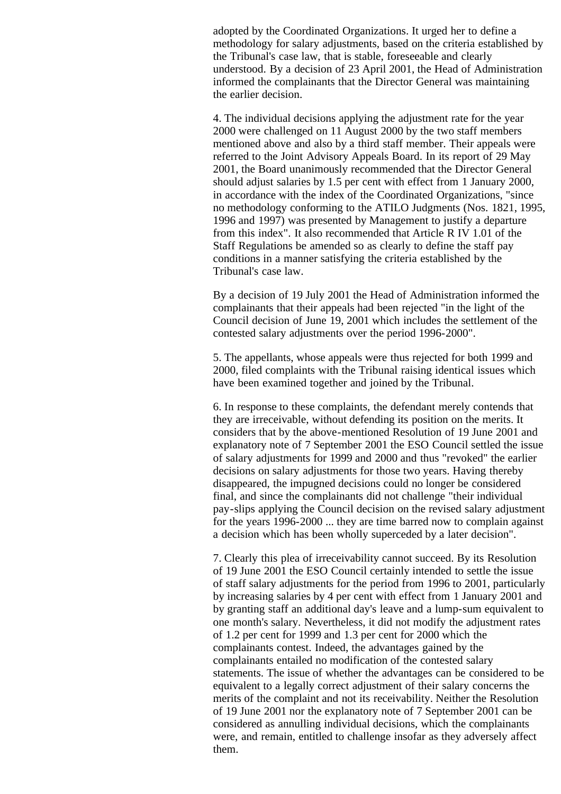adopted by the Coordinated Organizations. It urged her to define a methodology for salary adjustments, based on the criteria established by the Tribunal's case law, that is stable, foreseeable and clearly understood. By a decision of 23 April 2001, the Head of Administration informed the complainants that the Director General was maintaining the earlier decision.

4. The individual decisions applying the adjustment rate for the year 2000 were challenged on 11 August 2000 by the two staff members mentioned above and also by a third staff member. Their appeals were referred to the Joint Advisory Appeals Board. In its report of 29 May 2001, the Board unanimously recommended that the Director General should adjust salaries by 1.5 per cent with effect from 1 January 2000, in accordance with the index of the Coordinated Organizations, "since no methodology conforming to the ATILO Judgments (Nos. 1821, 1995, 1996 and 1997) was presented by Management to justify a departure from this index". It also recommended that Article R IV 1.01 of the Staff Regulations be amended so as clearly to define the staff pay conditions in a manner satisfying the criteria established by the Tribunal's case law.

By a decision of 19 July 2001 the Head of Administration informed the complainants that their appeals had been rejected "in the light of the Council decision of June 19, 2001 which includes the settlement of the contested salary adjustments over the period 1996-2000".

5. The appellants, whose appeals were thus rejected for both 1999 and 2000, filed complaints with the Tribunal raising identical issues which have been examined together and joined by the Tribunal.

6. In response to these complaints, the defendant merely contends that they are irreceivable, without defending its position on the merits. It considers that by the above-mentioned Resolution of 19 June 2001 and explanatory note of 7 September 2001 the ESO Council settled the issue of salary adjustments for 1999 and 2000 and thus "revoked" the earlier decisions on salary adjustments for those two years. Having thereby disappeared, the impugned decisions could no longer be considered final, and since the complainants did not challenge "their individual pay-slips applying the Council decision on the revised salary adjustment for the years 1996-2000 ... they are time barred now to complain against a decision which has been wholly superceded by a later decision".

7. Clearly this plea of irreceivability cannot succeed. By its Resolution of 19 June 2001 the ESO Council certainly intended to settle the issue of staff salary adjustments for the period from 1996 to 2001, particularly by increasing salaries by 4 per cent with effect from 1 January 2001 and by granting staff an additional day's leave and a lump-sum equivalent to one month's salary. Nevertheless, it did not modify the adjustment rates of 1.2 per cent for 1999 and 1.3 per cent for 2000 which the complainants contest. Indeed, the advantages gained by the complainants entailed no modification of the contested salary statements. The issue of whether the advantages can be considered to be equivalent to a legally correct adjustment of their salary concerns the merits of the complaint and not its receivability. Neither the Resolution of 19 June 2001 nor the explanatory note of 7 September 2001 can be considered as annulling individual decisions, which the complainants were, and remain, entitled to challenge insofar as they adversely affect them.